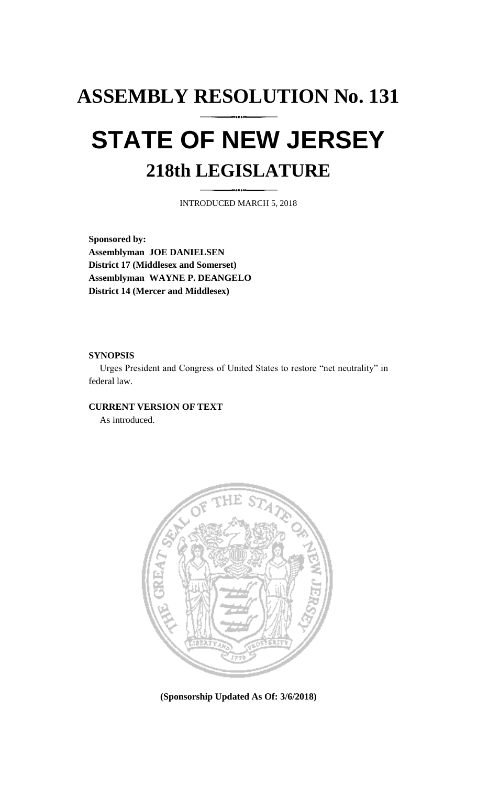## **ASSEMBLY RESOLUTION No. 131 STATE OF NEW JERSEY 218th LEGISLATURE**

INTRODUCED MARCH 5, 2018

**Sponsored by: Assemblyman JOE DANIELSEN District 17 (Middlesex and Somerset) Assemblyman WAYNE P. DEANGELO District 14 (Mercer and Middlesex)**

## **SYNOPSIS**

Urges President and Congress of United States to restore "net neutrality" in federal law.

## **CURRENT VERSION OF TEXT**

As introduced.



**(Sponsorship Updated As Of: 3/6/2018)**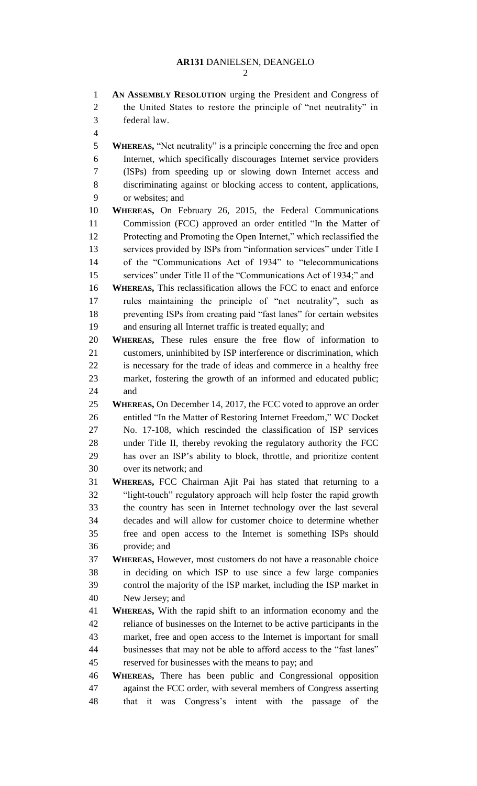**AN ASSEMBLY RESOLUTION** urging the President and Congress of the United States to restore the principle of "net neutrality" in federal law. **WHEREAS,** "Net neutrality" is a principle concerning the free and open Internet, which specifically discourages Internet service providers (ISPs) from speeding up or slowing down Internet access and discriminating against or blocking access to content, applications, or websites; and **WHEREAS,** On February 26, 2015, the Federal Communications Commission (FCC) approved an order entitled "In the Matter of Protecting and Promoting the Open Internet," which reclassified the services provided by ISPs from "information services" under Title I of the "Communications Act of 1934" to "telecommunications services" under Title II of the "Communications Act of 1934;" and **WHEREAS,** This reclassification allows the FCC to enact and enforce rules maintaining the principle of "net neutrality", such as preventing ISPs from creating paid "fast lanes" for certain websites and ensuring all Internet traffic is treated equally; and **WHEREAS,** These rules ensure the free flow of information to customers, uninhibited by ISP interference or discrimination, which is necessary for the trade of ideas and commerce in a healthy free market, fostering the growth of an informed and educated public; and **WHEREAS,** On December 14, 2017, the FCC voted to approve an order entitled "In the Matter of Restoring Internet Freedom," WC Docket No. 17-108, which rescinded the classification of ISP services under Title II, thereby revoking the regulatory authority the FCC has over an ISP's ability to block, throttle, and prioritize content over its network; and **WHEREAS,** FCC Chairman Ajit Pai has stated that returning to a "light-touch" regulatory approach will help foster the rapid growth the country has seen in Internet technology over the last several decades and will allow for customer choice to determine whether free and open access to the Internet is something ISPs should provide; and **WHEREAS,** However, most customers do not have a reasonable choice in deciding on which ISP to use since a few large companies control the majority of the ISP market, including the ISP market in New Jersey; and **WHEREAS,** With the rapid shift to an information economy and the reliance of businesses on the Internet to be active participants in the market, free and open access to the Internet is important for small businesses that may not be able to afford access to the "fast lanes" reserved for businesses with the means to pay; and **WHEREAS,** There has been public and Congressional opposition against the FCC order, with several members of Congress asserting that it was Congress's intent with the passage of the